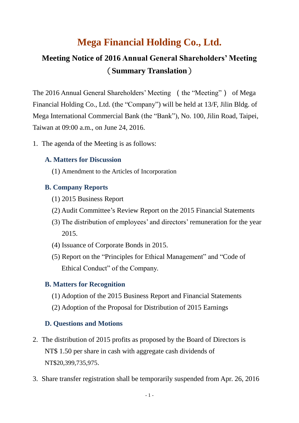# **Mega Financial Holding Co., Ltd.**

# **Meeting Notice of 2016 Annual General Shareholders' Meeting** (**Summary Translation**)

The 2016 Annual General Shareholders' Meeting (the "Meeting") of Mega Financial Holding Co., Ltd. (the "Company") will be held at 13/F, Jilin Bldg. of Mega International Commercial Bank (the "Bank"), No. 100, Jilin Road, Taipei, Taiwan at 09:00 a.m., on June 24, 2016.

1. The agenda of the Meeting is as follows:

## **A. Matters for Discussion**

(1) Amendment to the Articles of Incorporation

### **B. Company Reports**

- (1) 2015 Business Report
- (2) Audit Committee's Review Report on the 2015 Financial Statements
- (3) The distribution of employees' and directors' remuneration for the year 2015.
- (4) Issuance of Corporate Bonds in 2015.
- (5) Report on the "Principles for Ethical Management" and "Code of Ethical Conduct" of the Company.

#### **B. Matters for Recognition**

- (1) Adoption of the 2015 Business Report and Financial Statements
- (2) Adoption of the Proposal for Distribution of 2015 Earnings

#### **D. Questions and Motions**

- 2. The distribution of 2015 profits as proposed by the Board of Directors is NT\$ 1.50 per share in cash with aggregate cash dividends of NT\$20,399,735,975.
- 3. Share transfer registration shall be temporarily suspended from Apr. 26, 2016